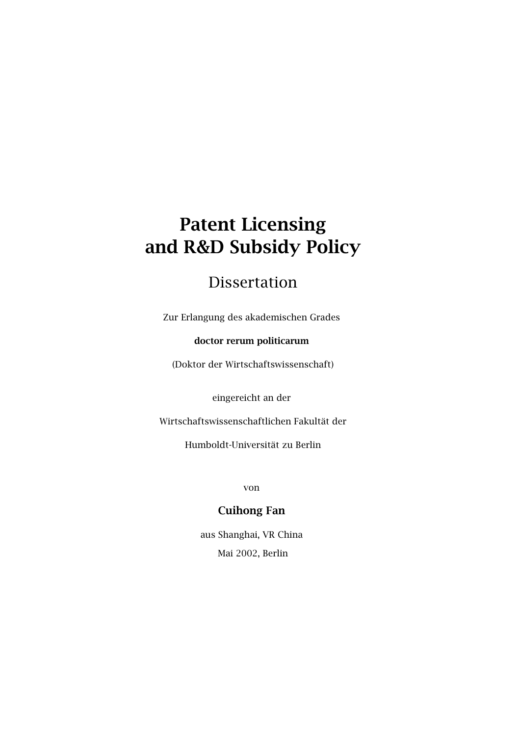# **Patent Licensing and R&D Subsidy Policy**

# Dissertation

Zur Erlangung des akademischen Grades

### **doctor rerum politicarum**

(Doktor der Wirtschaftswissenschaft)

eingereicht an der

Wirtschaftswissenschaftlichen Fakultät der

Humboldt-Universität zu Berlin

von

### **Cuihong Fan**

aus Shanghai, VR China Mai 2002, Berlin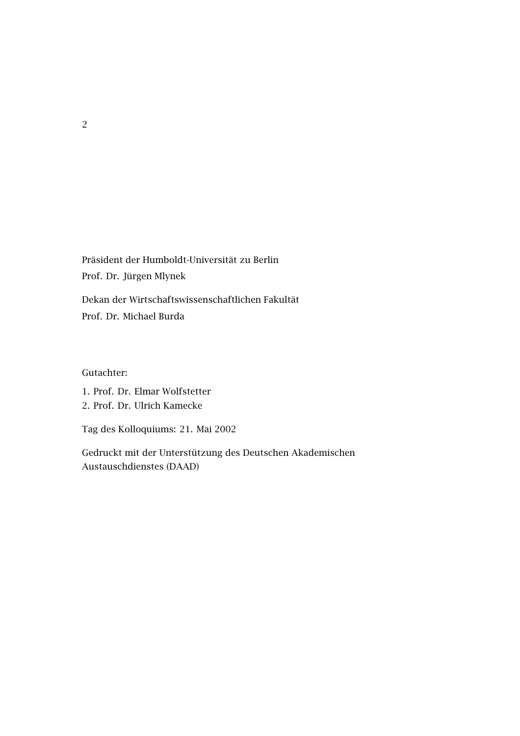Präsident der Humboldt-Universität zu Berlin Prof. Dr. Jürgen Mlynek

Dekan der Wirtschaftswissenschaftlichen Fakultät Prof. Dr. Michael Burda

Gutachter:

- 1. Prof. Dr. Elmar Wolfstetter
- 2. Prof. Dr. Ulrich Kamecke

Tag des Kolloquiums: 21. Mai 2002

Gedruckt mit der Unterstützung des Deutschen Akademischen Austauschdienstes (DAAD)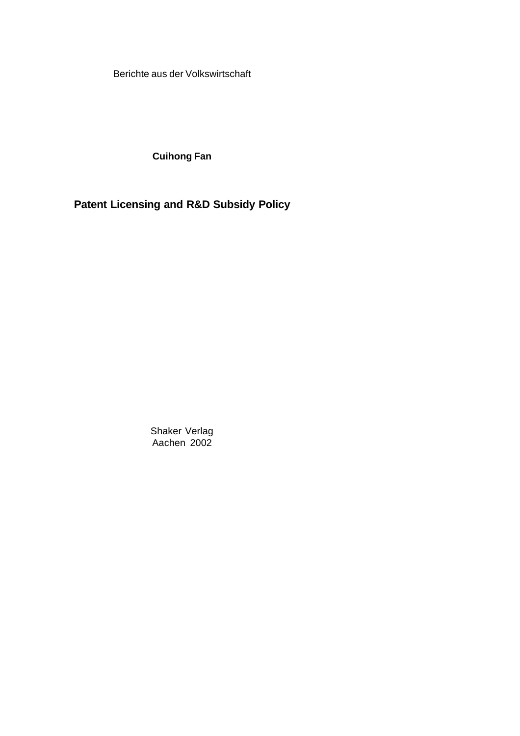Berichte aus der Volkswirtschaft

**Cuihong Fan**

### **Patent Licensing and R&D Subsidy Policy**

Shaker Verlag Aachen 2002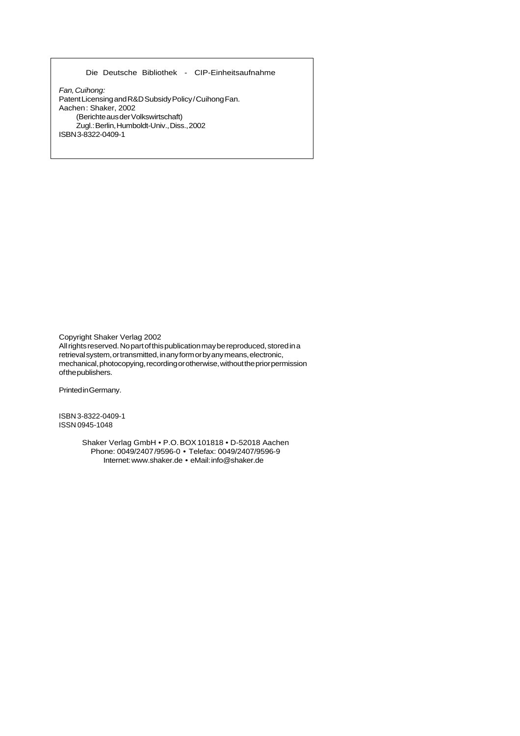#### Die Deutsche Bibliothek - CIP-Einheitsaufnahme

*Fan, Cuihong:* Patent Licensing and R&D Subsidy Policy / Cuihong Fan. Aachen : Shaker, 2002 (Berichte aus der Volkswirtschaft) Zugl.: Berlin, Humboldt-Univ., Diss., 2002 ISBN 3-8322-0409-1

Copyright Shaker Verlag 2002

All rights reserved. No part of this publication may be reproduced, stored in a retrieval system, or transmitted, in any form or by any means, electronic, mechanical, photocopying, recording or otherwise, without the prior permission of the publishers.

Printed in Germany.

ISBN 3-8322-0409-1 ISSN 0945-1048

> Shaker Verlag GmbH • P.O. BOX 101818 • D-52018 Aachen Phone: 0049/2407 /9596-0 • Telefax: 0049/2407/9596-9 Internet: www.shaker.de • eMail: info@shaker.de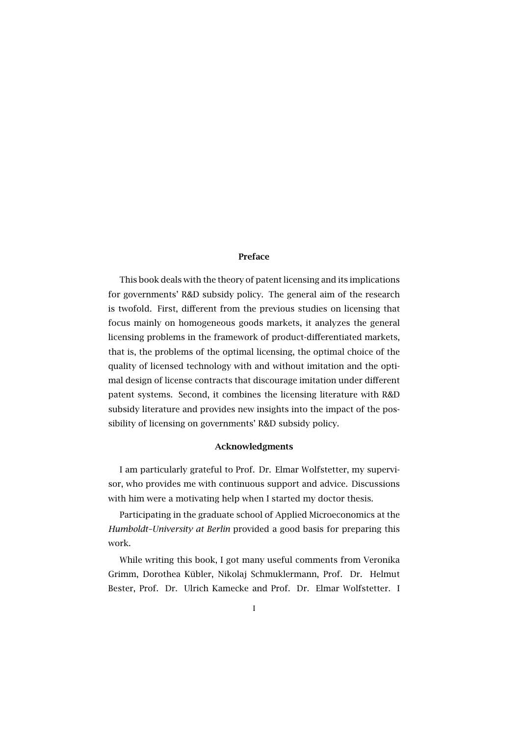#### **Preface**

This book deals with the theory of patent licensing and its implications for governments' R&D subsidy policy. The general aim of the research is twofold. First, different from the previous studies on licensing that focus mainly on homogeneous goods markets, it analyzes the general licensing problems in the framework of product-differentiated markets, that is, the problems of the optimal licensing, the optimal choice of the quality of licensed technology with and without imitation and the optimal design of license contracts that discourage imitation under different patent systems. Second, it combines the licensing literature with R&D subsidy literature and provides new insights into the impact of the possibility of licensing on governments' R&D subsidy policy.

#### **Acknowledgments**

I am particularly grateful to Prof. Dr. Elmar Wolfstetter, my supervisor, who provides me with continuous support and advice. Discussions with him were a motivating help when I started my doctor thesis.

Participating in the graduate school of Applied Microeconomics at the *Humboldt–University at Berlin* provided a good basis for preparing this work.

While writing this book, I got many useful comments from Veronika Grimm, Dorothea Kübler, Nikolaj Schmuklermann, Prof. Dr. Helmut Bester, Prof. Dr. Ulrich Kamecke and Prof. Dr. Elmar Wolfstetter. I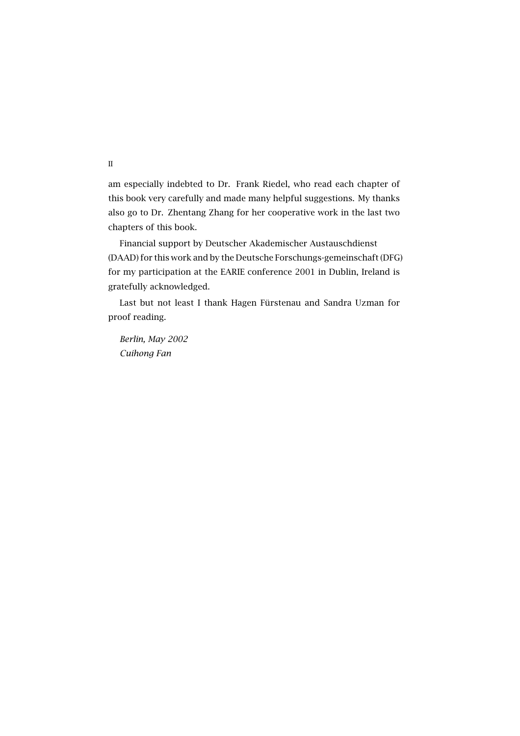am especially indebted to Dr. Frank Riedel, who read each chapter of this book very carefully and made many helpful suggestions. My thanks also go to Dr. Zhentang Zhang for her cooperative work in the last two chapters of this book.

Financial support by Deutscher Akademischer Austauschdienst (DAAD) for this work and by the Deutsche Forschungs-gemeinschaft (DFG) for my participation at the EARIE conference 2001 in Dublin, Ireland is gratefully acknowledged.

Last but not least I thank Hagen Fürstenau and Sandra Uzman for proof reading.

*Berlin, May 2002 Cuihong Fan*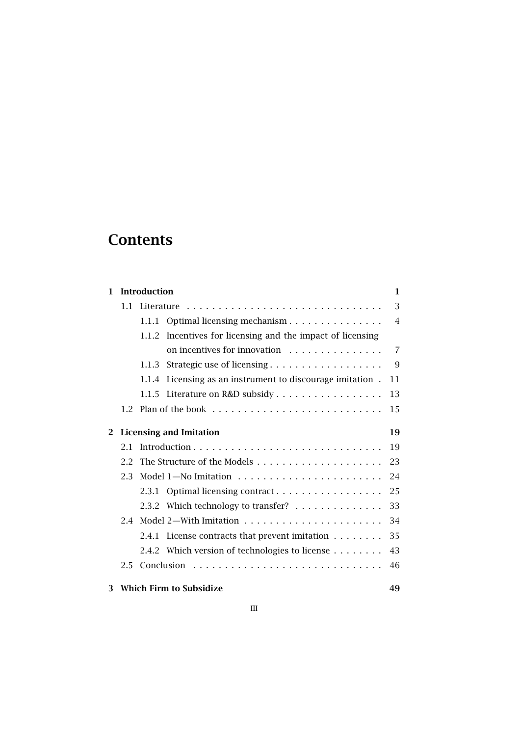# **Contents**

| $\mathbf{1}$                                     |               | <b>Introduction</b>                                             | 1  |  |
|--------------------------------------------------|---------------|-----------------------------------------------------------------|----|--|
|                                                  | 1.1           |                                                                 | 3  |  |
|                                                  |               | Optimal licensing mechanism<br>1.1.1                            | 4  |  |
|                                                  |               | Incentives for licensing and the impact of licensing<br>1.1.2   |    |  |
|                                                  |               | on incentives for innovation                                    | 7  |  |
|                                                  |               | 1.1.3                                                           | 9  |  |
|                                                  |               | Licensing as an instrument to discourage imitation.<br>1.1.4    | 11 |  |
|                                                  |               | 1.1.5 Literature on R&D subsidy                                 | 13 |  |
|                                                  | $1.2^{\circ}$ |                                                                 | 15 |  |
| <b>Licensing and Imitation</b><br>$\overline{2}$ |               |                                                                 | 19 |  |
|                                                  | 2.1           |                                                                 |    |  |
|                                                  | 2.2           |                                                                 |    |  |
|                                                  | 2.3           |                                                                 |    |  |
|                                                  |               | 2.3.1 Optimal licensing contract                                | 25 |  |
|                                                  |               | 2.3.2 Which technology to transfer?                             | 33 |  |
|                                                  | 2.4           |                                                                 | 34 |  |
|                                                  |               | License contracts that prevent imitation $\dots \dots$<br>2.4.1 | 35 |  |
|                                                  |               | 2.4.2 Which version of technologies to license                  | 43 |  |
|                                                  | 2.5           |                                                                 | 46 |  |